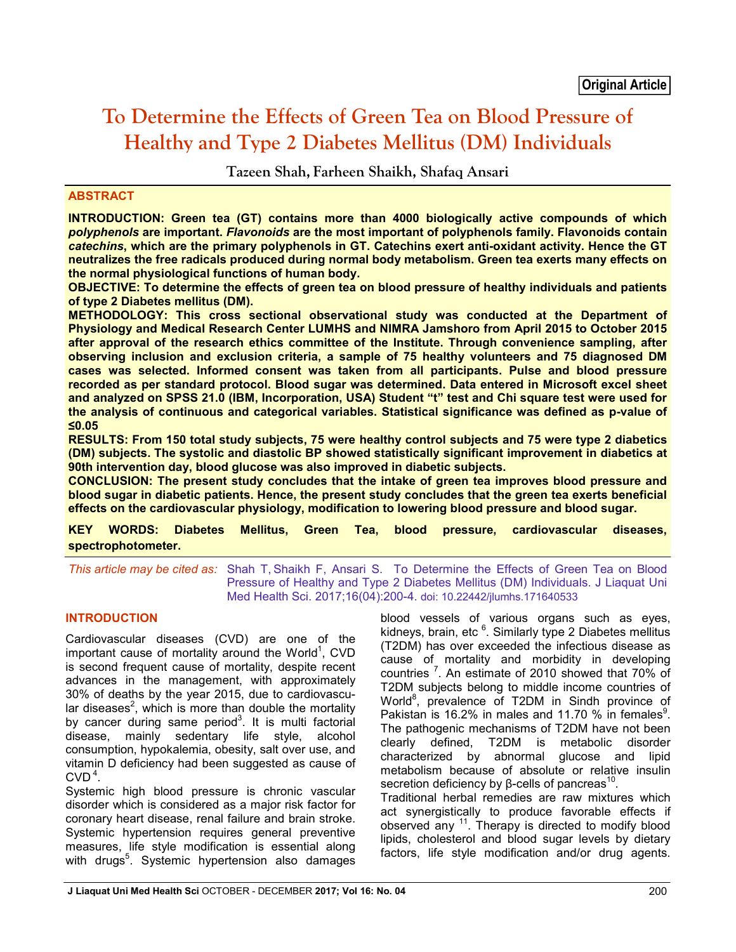# **To Determine the Effects of Green Tea on Blood Pressure of Healthy and Type 2 Diabetes Mellitus (DM) Individuals**

**Tazeen Shah, Farheen Shaikh, Shafaq Ansari**

# **ABSTRACT**

**INTRODUCTION: Green tea (GT) contains more than 4000 biologically active compounds of which**  *polyphenols* **are important.** *Flavonoids* **are the most important of polyphenols family. Flavonoids contain**  *catechins***, which are the primary polyphenols in GT. Catechins exert anti-oxidant activity. Hence the GT neutralizes the free radicals produced during normal body metabolism. Green tea exerts many effects on the normal physiological functions of human body.** 

**OBJECTIVE: To determine the effects of green tea on blood pressure of healthy individuals and patients of type 2 Diabetes mellitus (DM).**

**METHODOLOGY: This cross sectional observational study was conducted at the Department of Physiology and Medical Research Center LUMHS and NIMRA Jamshoro from April 2015 to October 2015 after approval of the research ethics committee of the Institute. Through convenience sampling, after observing inclusion and exclusion criteria, a sample of 75 healthy volunteers and 75 diagnosed DM cases was selected. Informed consent was taken from all participants. Pulse and blood pressure recorded as per standard protocol. Blood sugar was determined. Data entered in Microsoft excel sheet and analyzed on SPSS 21.0 (IBM, Incorporation, USA) Student "t" test and Chi square test were used for the analysis of continuous and categorical variables. Statistical significance was defined as p-value of ≤0.05**

**RESULTS: From 150 total study subjects, 75 were healthy control subjects and 75 were type 2 diabetics (DM) subjects. The systolic and diastolic BP showed statistically significant improvement in diabetics at 90th intervention day, blood glucose was also improved in diabetic subjects.**

**CONCLUSION: The present study concludes that the intake of green tea improves blood pressure and blood sugar in diabetic patients. Hence, the present study concludes that the green tea exerts beneficial effects on the cardiovascular physiology, modification to lowering blood pressure and blood sugar.**

**KEY WORDS: Diabetes Mellitus, Green Tea, blood pressure, cardiovascular diseases, spectrophotometer.**

*This article may be cited as:* Shah T, Shaikh F, Ansari S. To Determine the Effects of Green Tea on Blood Pressure of Healthy and Type 2 Diabetes Mellitus (DM) Individuals. J Liaquat Uni Med Health Sci. 2017;16(04):200-4. doi: 10.22442/jlumhs.171640533

# **INTRODUCTION**

Cardiovascular diseases (CVD) are one of the important cause of mortality around the World<sup>1</sup>, CVD is second frequent cause of mortality, despite recent advances in the management, with approximately 30% of deaths by the year 2015, due to cardiovascular diseases<sup>2</sup>, which is more than double the mortality by cancer during same period<sup>3</sup>. It is multi factorial disease, mainly sedentary life style, alcohol consumption, hypokalemia, obesity, salt over use, and vitamin D deficiency had been suggested as cause of  $CVD<sup>4</sup>$ .

Systemic high blood pressure is chronic vascular disorder which is considered as a major risk factor for coronary heart disease, renal failure and brain stroke. Systemic hypertension requires general preventive measures, life style modification is essential along with drugs<sup>5</sup>. Systemic hypertension also damages

blood vessels of various organs such as eyes, kidneys, brain, etc <sup>6</sup>. Similarly type 2 Diabetes mellitus (T2DM) has over exceeded the infectious disease as cause of mortality and morbidity in developing countries<sup>7</sup>. An estimate of 2010 showed that 70% of T2DM subjects belong to middle income countries of World<sup>8</sup>, prevalence of T2DM in Sindh province of Pakistan is 16.2% in males and 11.70 % in females<sup>9</sup>. The pathogenic mechanisms of T2DM have not been clearly defined, T2DM is metabolic disorder characterized by abnormal glucose and lipid metabolism because of absolute or relative insulin secretion deficiency by β-cells of pancreas<sup>10</sup>.

Traditional herbal remedies are raw mixtures which act synergistically to produce favorable effects if observed any <sup>11</sup>. Therapy is directed to modify blood lipids, cholesterol and blood sugar levels by dietary factors, life style modification and/or drug agents.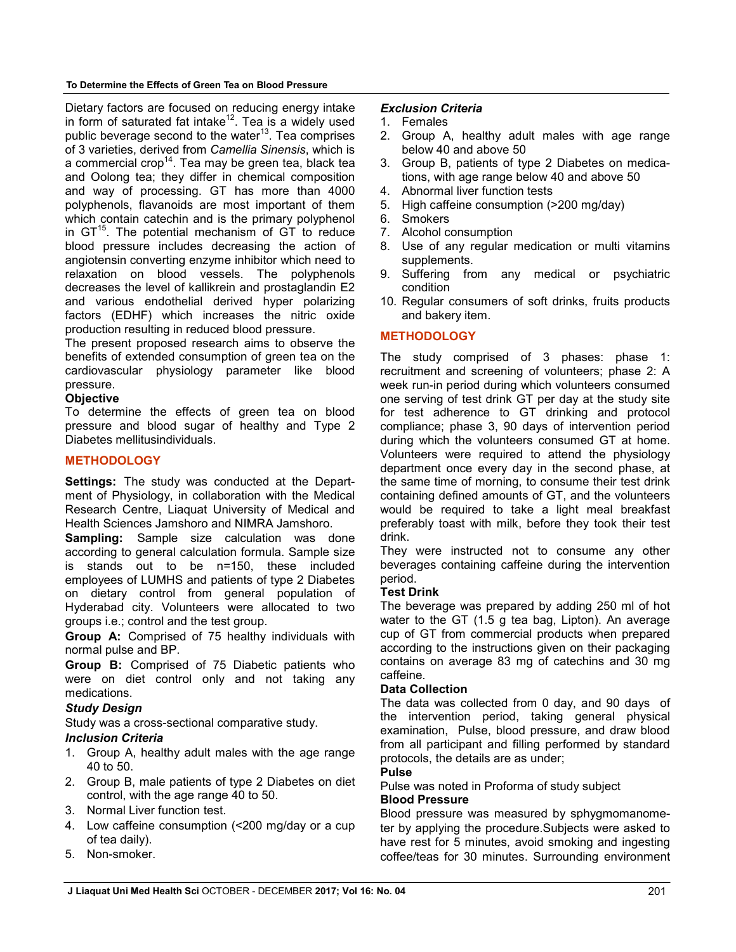#### **To Determine the Effects of Green Tea on Blood Pressure**

Dietary factors are focused on reducing energy intake in form of saturated fat intake<sup>12</sup>. Tea is a widely used public beverage second to the water<sup>13</sup>. Tea comprises of 3 varieties, derived from *Camellia Sinensis*, which is a commercial crop<sup>14</sup>. Tea may be green tea, black tea and Oolong tea; they differ in chemical composition and way of processing. GT has more than 4000 polyphenols, flavanoids are most important of them which contain catechin and is the primary polyphenol in  $GT^{15}$ . The potential mechanism of GT to reduce blood pressure includes decreasing the action of angiotensin converting enzyme inhibitor which need to relaxation on blood vessels. The polyphenols decreases the level of kallikrein and prostaglandin E2 and various endothelial derived hyper polarizing factors (EDHF) which increases the nitric oxide production resulting in reduced blood pressure.

The present proposed research aims to observe the benefits of extended consumption of green tea on the cardiovascular physiology parameter like blood pressure.

# **Objective**

To determine the effects of green tea on blood pressure and blood sugar of healthy and Type 2 Diabetes mellitusindividuals.

# **METHODOLOGY**

**Settings:** The study was conducted at the Department of Physiology, in collaboration with the Medical Research Centre, Liaquat University of Medical and Health Sciences Jamshoro and NIMRA Jamshoro.

**Sampling:** Sample size calculation was done according to general calculation formula. Sample size is stands out to be n=150, these included employees of LUMHS and patients of type 2 Diabetes on dietary control from general population of Hyderabad city. Volunteers were allocated to two groups i.e.; control and the test group.

**Group A:** Comprised of 75 healthy individuals with normal pulse and BP.

**Group B:** Comprised of 75 Diabetic patients who were on diet control only and not taking any medications.

# *Study Design*

Study was a cross-sectional comparative study.

## *Inclusion Criteria*

- 1. Group A, healthy adult males with the age range 40 to 50.
- 2. Group B, male patients of type 2 Diabetes on diet control, with the age range 40 to 50.
- 3. Normal Liver function test.
- 4. Low caffeine consumption (<200 mg/day or a cup of tea daily).
- 5. Non-smoker.

## *Exclusion Criteria*

- 1. Females
- 2. Group A, healthy adult males with age range below 40 and above 50
- 3. Group B, patients of type 2 Diabetes on medications, with age range below 40 and above 50
- 4. Abnormal liver function tests
- 5. High caffeine consumption (>200 mg/day)
- 6. Smokers
- 7. Alcohol consumption
- 8. Use of any regular medication or multi vitamins supplements.
- 9. Suffering from any medical or psychiatric condition
- 10. Regular consumers of soft drinks, fruits products and bakery item.

# **METHODOLOGY**

The study comprised of 3 phases: phase 1: recruitment and screening of volunteers; phase 2: A week run-in period during which volunteers consumed one serving of test drink GT per day at the study site for test adherence to GT drinking and protocol compliance; phase 3, 90 days of intervention period during which the volunteers consumed GT at home. Volunteers were required to attend the physiology department once every day in the second phase, at the same time of morning, to consume their test drink containing defined amounts of GT, and the volunteers would be required to take a light meal breakfast preferably toast with milk, before they took their test drink.

They were instructed not to consume any other beverages containing caffeine during the intervention period.

## **Test Drink**

The beverage was prepared by adding 250 ml of hot water to the GT (1.5 g tea bag, Lipton). An average cup of GT from commercial products when prepared according to the instructions given on their packaging contains on average 83 mg of catechins and 30 mg caffeine.

## **Data Collection**

The data was collected from 0 day, and 90 days of the intervention period, taking general physical examination, Pulse, blood pressure, and draw blood from all participant and filling performed by standard protocols, the details are as under;

# **Pulse**

Pulse was noted in Proforma of study subject **Blood Pressure**

Blood pressure was measured by sphygmomanometer by applying the procedure.Subjects were asked to have rest for 5 minutes, avoid smoking and ingesting coffee/teas for 30 minutes. Surrounding environment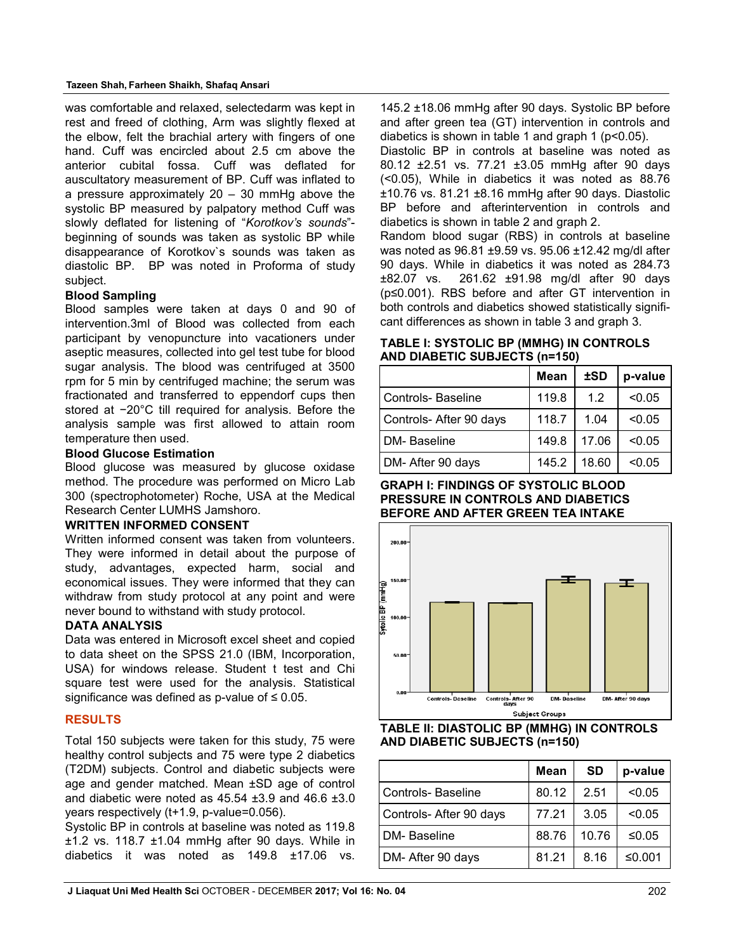#### **Tazeen Shah, Farheen Shaikh, Shafaq Ansari**

was comfortable and relaxed, selectedarm was kept in rest and freed of clothing, Arm was slightly flexed at the elbow, felt the brachial artery with fingers of one hand. Cuff was encircled about 2.5 cm above the anterior cubital fossa. Cuff was deflated for auscultatory measurement of BP. Cuff was inflated to a pressure approximately  $20 - 30$  mmHg above the systolic BP measured by palpatory method Cuff was slowly deflated for listening of "*Korotkov's sounds*" beginning of sounds was taken as systolic BP while disappearance of Korotkov`s sounds was taken as diastolic BP. BP was noted in Proforma of study subject.

## **Blood Sampling**

Blood samples were taken at days 0 and 90 of intervention.3ml of Blood was collected from each participant by venopuncture into vacationers under aseptic measures, collected into gel test tube for blood sugar analysis. The blood was centrifuged at 3500 rpm for 5 min by centrifuged machine; the serum was fractionated and transferred to eppendorf cups then stored at −20°C till required for analysis. Before the analysis sample was first allowed to attain room temperature then used.

#### **Blood Glucose Estimation**

Blood glucose was measured by glucose oxidase method. The procedure was performed on Micro Lab 300 (spectrophotometer) Roche, USA at the Medical Research Center LUMHS Jamshoro.

## **WRITTEN INFORMED CONSENT**

Written informed consent was taken from volunteers. They were informed in detail about the purpose of study, advantages, expected harm, social and economical issues. They were informed that they can withdraw from study protocol at any point and were never bound to withstand with study protocol.

## **DATA ANALYSIS**

Data was entered in Microsoft excel sheet and copied to data sheet on the SPSS 21.0 (IBM, Incorporation, USA) for windows release. Student t test and Chi square test were used for the analysis. Statistical significance was defined as p-value of  $\leq 0.05$ .

## **RESULTS**

Total 150 subjects were taken for this study, 75 were healthy control subjects and 75 were type 2 diabetics (T2DM) subjects. Control and diabetic subjects were age and gender matched. Mean ±SD age of control and diabetic were noted as  $45.54 \pm 3.9$  and  $46.6 \pm 3.0$ years respectively (t+1.9, p-value=0.056).

Systolic BP in controls at baseline was noted as 119.8  $±1.2$  vs. 118.7  $±1.04$  mmHg after 90 days. While in diabetics it was noted as 149.8 ±17.06 vs.

145.2 ±18.06 mmHg after 90 days. Systolic BP before and after green tea (GT) intervention in controls and diabetics is shown in table 1 and graph 1 (p<0.05).

Diastolic BP in controls at baseline was noted as 80.12 ±2.51 vs. 77.21 ±3.05 mmHg after 90 days (<0.05), While in diabetics it was noted as 88.76 ±10.76 vs. 81.21 ±8.16 mmHg after 90 days. Diastolic BP before and afterintervention in controls and diabetics is shown in table 2 and graph 2.

Random blood sugar (RBS) in controls at baseline was noted as 96.81 ±9.59 vs. 95.06 ±12.42 mg/dl after 90 days. While in diabetics it was noted as 284.73 ±82.07 vs. 261.62 ±91.98 mg/dl after 90 days (p≤0.001). RBS before and after GT intervention in both controls and diabetics showed statistically significant differences as shown in table 3 and graph 3.

#### **TABLE I: SYSTOLIC BP (MMHG) IN CONTROLS AND DIABETIC SUBJECTS (n=150)**

|                        | <b>Mean</b> | ±SD   | p-value |
|------------------------|-------------|-------|---------|
| l Controls- Baseline   | 119.8       | 1.2   | < 0.05  |
| Controls-After 90 days | 118.7       | 1.04  | < 0.05  |
| DM-Baseline            | 149.8       | 17.06 | < 0.05  |
| DM- After 90 days      | 145.2       | 18.60 | < 0.05  |

## **GRAPH I: FINDINGS OF SYSTOLIC BLOOD PRESSURE IN CONTROLS AND DIABETICS BEFORE AND AFTER GREEN TEA INTAKE**





|                        | Mean  | <b>SD</b> | p-value |
|------------------------|-------|-----------|---------|
| Controls-Baseline      | 80.12 | 2.51      | < 0.05  |
| Controls-After 90 days | 77.21 | 3.05      | < 0.05  |
| <b>DM-</b> Baseline    | 88.76 | 10.76     | ≤0.05   |
| DM- After 90 days      | 81.21 | 8.16      | ≤0.001  |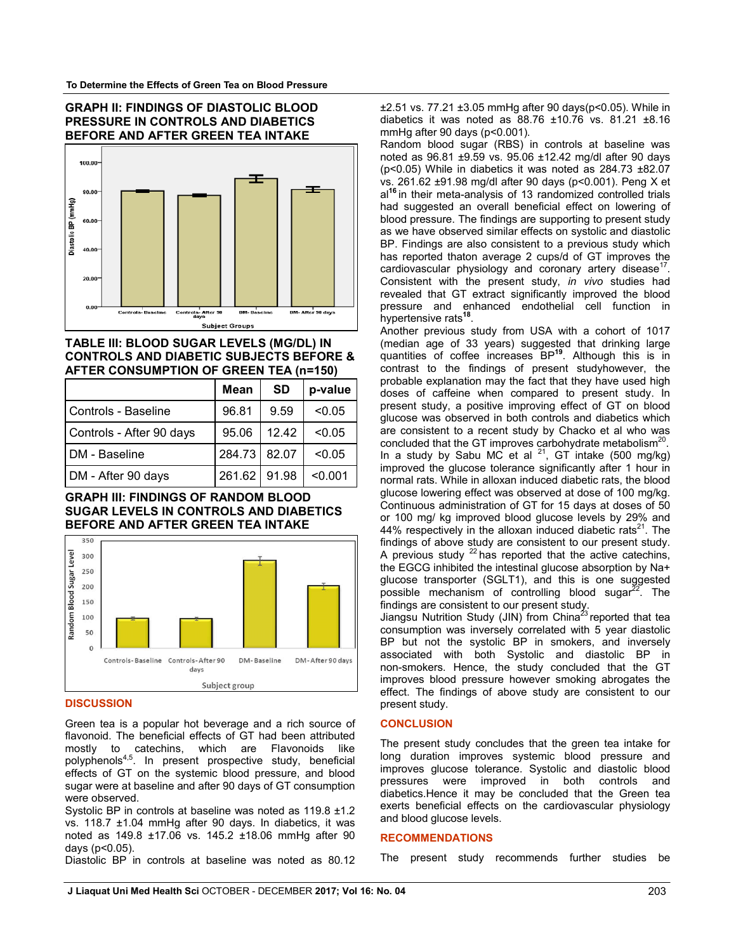#### **GRAPH II: FINDINGS OF DIASTOLIC BLOOD PRESSURE IN CONTROLS AND DIABETICS BEFORE AND AFTER GREEN TEA INTAKE**



## **TABLE III: BLOOD SUGAR LEVELS (MG/DL) IN CONTROLS AND DIABETIC SUBJECTS BEFORE & AFTER CONSUMPTION OF GREEN TEA (n=150)**

|                          | Mean         | <b>SD</b> | p-value |
|--------------------------|--------------|-----------|---------|
| l Controls - Baseline    | 96.81        | 9.59      | < 0.05  |
| Controls - After 90 days | 95.06        | 12.42     | < 0.05  |
| I DM - Baseline          | 284.73 82.07 |           | < 0.05  |
| DM - After 90 days       | 261.62       | 91.98     | < 0.001 |

#### **GRAPH III: FINDINGS OF RANDOM BLOOD SUGAR LEVELS IN CONTROLS AND DIABETICS BEFORE AND AFTER GREEN TEA INTAKE**



#### **DISCUSSION**

Green tea is a popular hot beverage and a rich source of flavonoid. The beneficial effects of GT had been attributed mostly to catechins, which are Flavonoids like polyphenols<sup>4,5</sup>. In present prospective study, beneficial effects of GT on the systemic blood pressure, and blood sugar were at baseline and after 90 days of GT consumption were observed.

Systolic BP in controls at baseline was noted as 119.8 ±1.2 vs. 118.7 ±1.04 mmHg after 90 days. In diabetics, it was noted as 149.8 ±17.06 vs. 145.2 ±18.06 mmHg after 90 days (p<0.05).

Diastolic BP in controls at baseline was noted as 80.12

±2.51 vs. 77.21 ±3.05 mmHg after 90 days(p<0.05). While in diabetics it was noted as  $88.76 \pm 10.76$  vs.  $81.21 \pm 8.16$ mmHg after 90 days (p<0.001).

Random blood sugar (RBS) in controls at baseline was noted as 96.81 ±9.59 vs. 95.06 ±12.42 mg/dl after 90 days (p<0.05) While in diabetics it was noted as 284.73 ±82.07 vs. 261.62 ±91.98 mg/dl after 90 days (p<0.001). Peng X et al**<sup>16</sup>**in their meta-analysis of 13 randomized controlled trials had suggested an overall beneficial effect on lowering of blood pressure. The findings are supporting to present study as we have observed similar effects on systolic and diastolic BP. Findings are also consistent to a previous study which has reported thaton average 2 cups/d of GT improves the cardiovascular physiology and coronary artery disease<sup>17</sup> Consistent with the present study, *in vivo* studies had revealed that GT extract significantly improved the blood pressure and enhanced endothelial cell function in hypertensive rats**<sup>18</sup>**.

Another previous study from USA with a cohort of 1017 (median age of 33 years) suggested that drinking large quantities of coffee increases BP**<sup>19</sup>**. Although this is in contrast to the findings of present studyhowever, the probable explanation may the fact that they have used high doses of caffeine when compared to present study. In present study, a positive improving effect of GT on blood glucose was observed in both controls and diabetics which are consistent to a recent study by Chacko et al who was concluded that the GT improves carbohydrate metabolism<sup>20</sup>. In a study by Sabu MC et al  $2^1$ , GT intake (500 mg/kg) improved the glucose tolerance significantly after 1 hour in normal rats. While in alloxan induced diabetic rats, the blood glucose lowering effect was observed at dose of 100 mg/kg. Continuous administration of GT for 15 days at doses of 50 or 100 mg/ kg improved blood glucose levels by 29% and 44% respectively in the alloxan induced diabetic rats<sup>21</sup>. The findings of above study are consistent to our present study. A previous study  $^{22}$  has reported that the active catechins, the EGCG inhibited the intestinal glucose absorption by Na+ glucose transporter (SGLT1), and this is one suggested possible mechanism of controlling blood sugar $^{22}$ . The findings are consistent to our present study.

Jiangsu Nutrition Study (JIN) from China<sup>23</sup> reported that tea consumption was inversely correlated with 5 year diastolic BP but not the systolic BP in smokers, and inversely associated with both Systolic and diastolic BP in non-smokers. Hence, the study concluded that the GT improves blood pressure however smoking abrogates the effect. The findings of above study are consistent to our present study.

#### **CONCLUSION**

The present study concludes that the green tea intake for long duration improves systemic blood pressure and improves glucose tolerance. Systolic and diastolic blood pressures were improved in both controls and diabetics.Hence it may be concluded that the Green tea exerts beneficial effects on the cardiovascular physiology and blood glucose levels.

#### **RECOMMENDATIONS**

The present study recommends further studies be